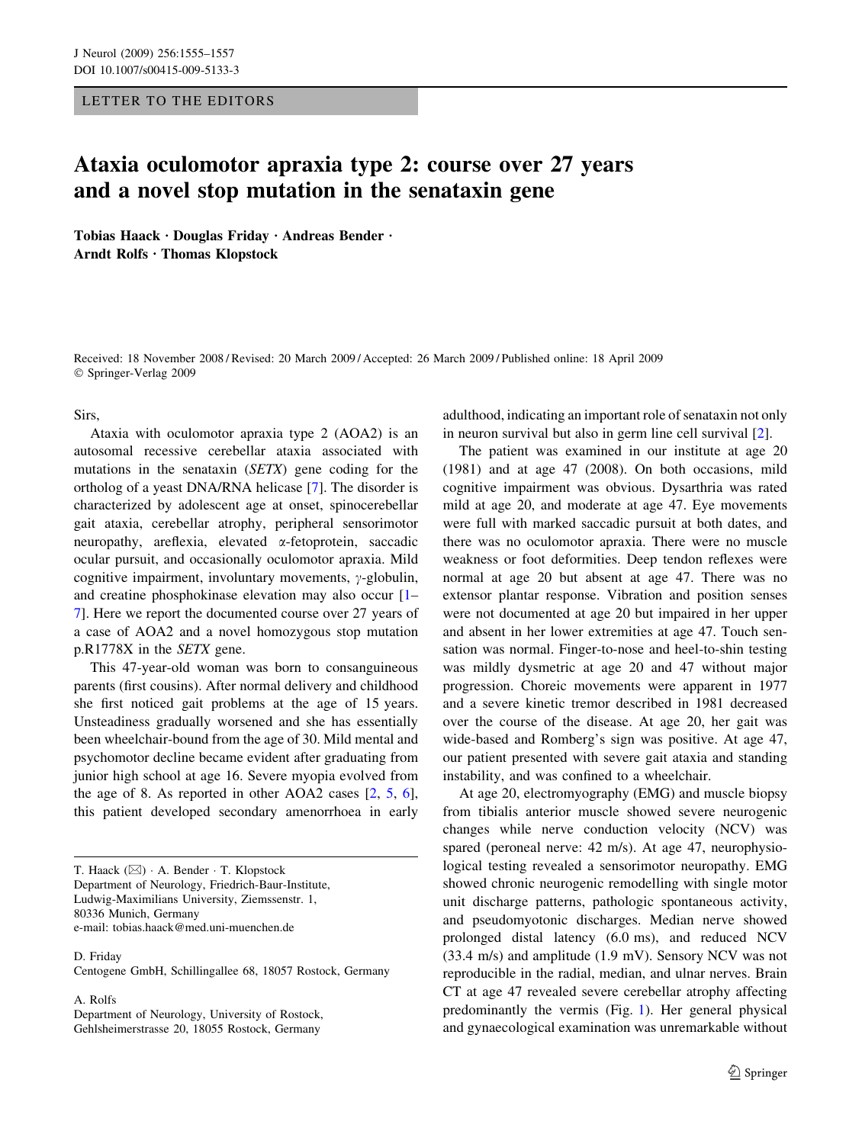## LETTER TO THE EDITORS

## Ataxia oculomotor apraxia type 2: course over 27 years and a novel stop mutation in the senataxin gene

Tobias Haack  $\cdot$  Douglas Friday  $\cdot$  Andreas Bender  $\cdot$ Arndt Rolfs · Thomas Klopstock

Received: 18 November 2008 / Revised: 20 March 2009 / Accepted: 26 March 2009 / Published online: 18 April 2009 Springer-Verlag 2009

Sirs,

Ataxia with oculomotor apraxia type 2 (AOA2) is an autosomal recessive cerebellar ataxia associated with mutations in the senataxin (SETX) gene coding for the ortholog of a yeast DNA/RNA helicase [\[7](#page-1-0)]. The disorder is characterized by adolescent age at onset, spinocerebellar gait ataxia, cerebellar atrophy, peripheral sensorimotor neuropathy, areflexia, elevated a-fetoprotein, saccadic ocular pursuit, and occasionally oculomotor apraxia. Mild cognitive impairment, involuntary movements,  $\gamma$ -globulin, and creatine phosphokinase elevation may also occur [\[1](#page-1-0)– [7](#page-1-0)]. Here we report the documented course over 27 years of a case of AOA2 and a novel homozygous stop mutation p.R1778X in the SETX gene.

This 47-year-old woman was born to consanguineous parents (first cousins). After normal delivery and childhood she first noticed gait problems at the age of 15 years. Unsteadiness gradually worsened and she has essentially been wheelchair-bound from the age of 30. Mild mental and psychomotor decline became evident after graduating from junior high school at age 16. Severe myopia evolved from the age of 8. As reported in other AOA2 cases [[2,](#page-1-0) [5,](#page-1-0) [6](#page-1-0)], this patient developed secondary amenorrhoea in early

T. Haack  $(\boxtimes)$   $\cdot$  A. Bender  $\cdot$  T. Klopstock Department of Neurology, Friedrich-Baur-Institute, Ludwig-Maximilians University, Ziemssenstr. 1, 80336 Munich, Germany e-mail: tobias.haack@med.uni-muenchen.de

D. Friday

Centogene GmbH, Schillingallee 68, 18057 Rostock, Germany

A. Rolfs

Department of Neurology, University of Rostock, Gehlsheimerstrasse 20, 18055 Rostock, Germany

adulthood, indicating an important role of senataxin not only in neuron survival but also in germ line cell survival [\[2](#page-1-0)].

The patient was examined in our institute at age 20 (1981) and at age 47 (2008). On both occasions, mild cognitive impairment was obvious. Dysarthria was rated mild at age 20, and moderate at age 47. Eye movements were full with marked saccadic pursuit at both dates, and there was no oculomotor apraxia. There were no muscle weakness or foot deformities. Deep tendon reflexes were normal at age 20 but absent at age 47. There was no extensor plantar response. Vibration and position senses were not documented at age 20 but impaired in her upper and absent in her lower extremities at age 47. Touch sensation was normal. Finger-to-nose and heel-to-shin testing was mildly dysmetric at age 20 and 47 without major progression. Choreic movements were apparent in 1977 and a severe kinetic tremor described in 1981 decreased over the course of the disease. At age 20, her gait was wide-based and Romberg's sign was positive. At age 47, our patient presented with severe gait ataxia and standing instability, and was confined to a wheelchair.

At age 20, electromyography (EMG) and muscle biopsy from tibialis anterior muscle showed severe neurogenic changes while nerve conduction velocity (NCV) was spared (peroneal nerve: 42 m/s). At age 47, neurophysiological testing revealed a sensorimotor neuropathy. EMG showed chronic neurogenic remodelling with single motor unit discharge patterns, pathologic spontaneous activity, and pseudomyotonic discharges. Median nerve showed prolonged distal latency (6.0 ms), and reduced NCV (33.4 m/s) and amplitude (1.9 mV). Sensory NCV was not reproducible in the radial, median, and ulnar nerves. Brain CT at age 47 revealed severe cerebellar atrophy affecting predominantly the vermis (Fig. [1](#page-1-0)). Her general physical and gynaecological examination was unremarkable without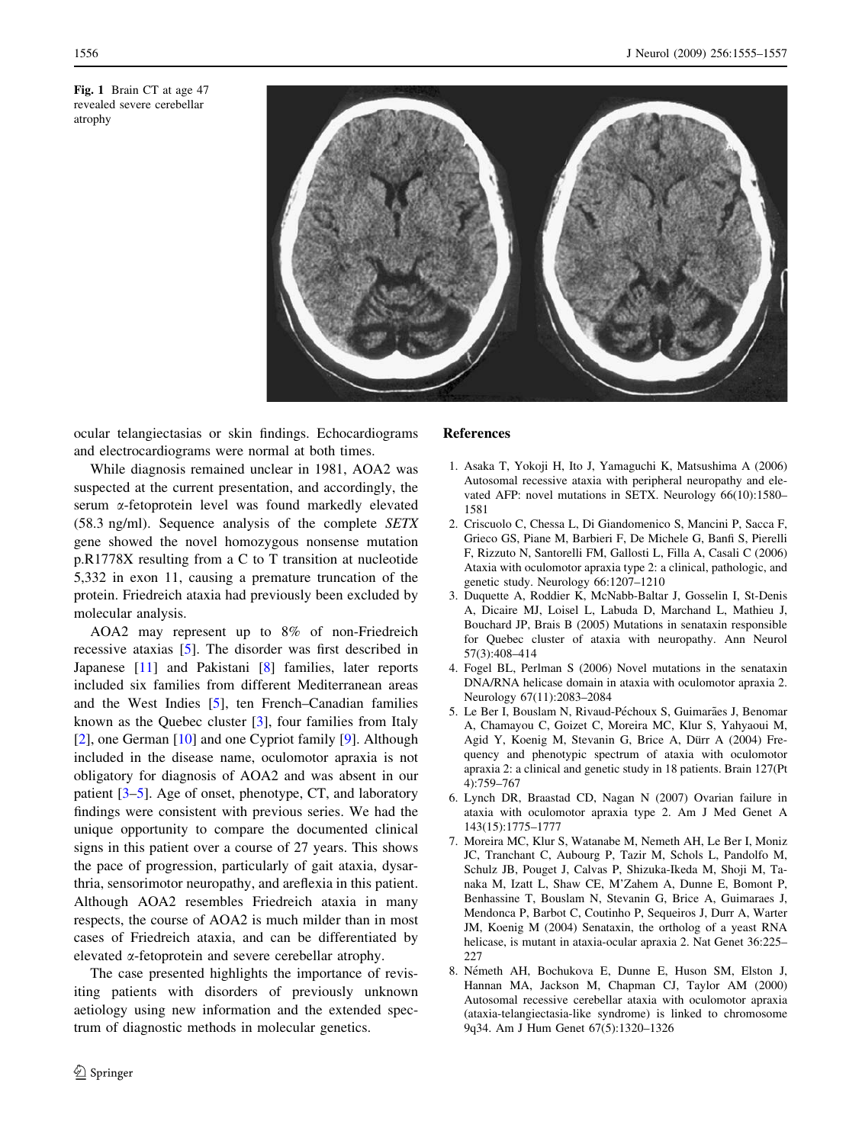<span id="page-1-0"></span>Fig. 1 Brain CT at age 47 revealed severe cerebellar atrophy



ocular telangiectasias or skin findings. Echocardiograms and electrocardiograms were normal at both times.

While diagnosis remained unclear in 1981, AOA2 was suspected at the current presentation, and accordingly, the serum a-fetoprotein level was found markedly elevated (58.3 ng/ml). Sequence analysis of the complete SETX gene showed the novel homozygous nonsense mutation p.R1778X resulting from a C to T transition at nucleotide 5,332 in exon 11, causing a premature truncation of the protein. Friedreich ataxia had previously been excluded by molecular analysis.

AOA2 may represent up to 8% of non-Friedreich recessive ataxias [5]. The disorder was first described in Japanese [\[11\]](#page-2-0) and Pakistani [8] families, later reports included six families from different Mediterranean areas and the West Indies [5], ten French–Canadian families known as the Quebec cluster [3], four families from Italy [2], one German [[10\]](#page-2-0) and one Cypriot family [\[9\]](#page-2-0). Although included in the disease name, oculomotor apraxia is not obligatory for diagnosis of AOA2 and was absent in our patient [3–5]. Age of onset, phenotype, CT, and laboratory findings were consistent with previous series. We had the unique opportunity to compare the documented clinical signs in this patient over a course of 27 years. This shows the pace of progression, particularly of gait ataxia, dysarthria, sensorimotor neuropathy, and areflexia in this patient. Although AOA2 resembles Friedreich ataxia in many respects, the course of AOA2 is much milder than in most cases of Friedreich ataxia, and can be differentiated by elevated  $\alpha$ -fetoprotein and severe cerebellar atrophy.

The case presented highlights the importance of revisiting patients with disorders of previously unknown aetiology using new information and the extended spectrum of diagnostic methods in molecular genetics.

## References

- 1. Asaka T, Yokoji H, Ito J, Yamaguchi K, Matsushima A (2006) Autosomal recessive ataxia with peripheral neuropathy and elevated AFP: novel mutations in SETX. Neurology 66(10):1580– 1581
- 2. Criscuolo C, Chessa L, Di Giandomenico S, Mancini P, Sacca F, Grieco GS, Piane M, Barbieri F, De Michele G, Banfi S, Pierelli F, Rizzuto N, Santorelli FM, Gallosti L, Filla A, Casali C (2006) Ataxia with oculomotor apraxia type 2: a clinical, pathologic, and genetic study. Neurology 66:1207–1210
- 3. Duquette A, Roddier K, McNabb-Baltar J, Gosselin I, St-Denis A, Dicaire MJ, Loisel L, Labuda D, Marchand L, Mathieu J, Bouchard JP, Brais B (2005) Mutations in senataxin responsible for Quebec cluster of ataxia with neuropathy. Ann Neurol 57(3):408–414
- 4. Fogel BL, Perlman S (2006) Novel mutations in the senataxin DNA/RNA helicase domain in ataxia with oculomotor apraxia 2. Neurology 67(11):2083–2084
- 5. Le Ber I, Bouslam N, Rivaud-Péchoux S, Guimarães J, Benomar A, Chamayou C, Goizet C, Moreira MC, Klur S, Yahyaoui M, Agid Y, Koenig M, Stevanin G, Brice A, Dürr A (2004) Frequency and phenotypic spectrum of ataxia with oculomotor apraxia 2: a clinical and genetic study in 18 patients. Brain 127(Pt 4):759–767
- 6. Lynch DR, Braastad CD, Nagan N (2007) Ovarian failure in ataxia with oculomotor apraxia type 2. Am J Med Genet A 143(15):1775–1777
- 7. Moreira MC, Klur S, Watanabe M, Nemeth AH, Le Ber I, Moniz JC, Tranchant C, Aubourg P, Tazir M, Schols L, Pandolfo M, Schulz JB, Pouget J, Calvas P, Shizuka-Ikeda M, Shoji M, Tanaka M, Izatt L, Shaw CE, M'Zahem A, Dunne E, Bomont P, Benhassine T, Bouslam N, Stevanin G, Brice A, Guimaraes J, Mendonca P, Barbot C, Coutinho P, Sequeiros J, Durr A, Warter JM, Koenig M (2004) Senataxin, the ortholog of a yeast RNA helicase, is mutant in ataxia-ocular apraxia 2. Nat Genet 36:225– 227
- 8. Németh AH, Bochukova E, Dunne E, Huson SM, Elston J, Hannan MA, Jackson M, Chapman CJ, Taylor AM (2000) Autosomal recessive cerebellar ataxia with oculomotor apraxia (ataxia-telangiectasia-like syndrome) is linked to chromosome 9q34. Am J Hum Genet 67(5):1320–1326